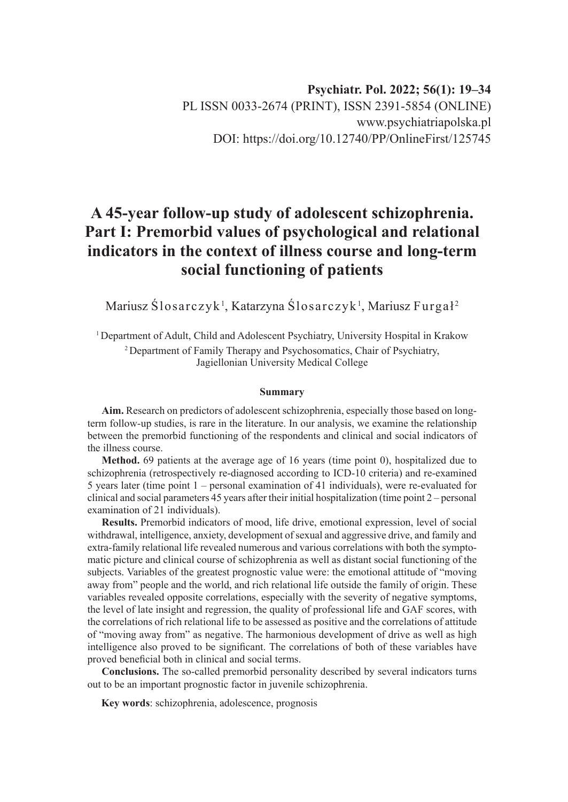# **Psychiatr. Pol. 2022; 56(1): 19–34** PL ISSN 0033-2674 (PRINT), ISSN 2391-5854 (ONLINE) www.psychiatriapolska.pl DOI: https://doi.org/10.12740/PP/OnlineFirst/125745

# **A 45-year follow-up study of adolescent schizophrenia. Part I: Premorbid values of psychological and relational indicators in the context of illness course and long-term social functioning of patients**

Mariusz Ślosarczyk<sup>1</sup>, Katarzyna Ślosarczyk<sup>1</sup>, Mariusz Furgał<sup>2</sup>

<sup>1</sup> Department of Adult, Child and Adolescent Psychiatry, University Hospital in Krakow <sup>2</sup> Department of Family Therapy and Psychosomatics, Chair of Psychiatry, Jagiellonian University Medical College

#### **Summary**

**Aim.** Research on predictors of adolescent schizophrenia, especially those based on longterm follow-up studies, is rare in the literature. In our analysis, we examine the relationship between the premorbid functioning of the respondents and clinical and social indicators of the illness course.

**Method.** 69 patients at the average age of 16 years (time point 0), hospitalized due to schizophrenia (retrospectively re-diagnosed according to ICD-10 criteria) and re-examined 5 years later (time point 1 – personal examination of 41 individuals), were re-evaluated for clinical and social parameters 45 years after their initial hospitalization (time point 2 – personal examination of 21 individuals).

**Results.** Premorbid indicators of mood, life drive, emotional expression, level of social withdrawal, intelligence, anxiety, development of sexual and aggressive drive, and family and extra-family relational life revealed numerous and various correlations with both the symptomatic picture and clinical course of schizophrenia as well as distant social functioning of the subjects. Variables of the greatest prognostic value were: the emotional attitude of "moving away from" people and the world, and rich relational life outside the family of origin. These variables revealed opposite correlations, especially with the severity of negative symptoms, the level of late insight and regression, the quality of professional life and GAF scores, with the correlations of rich relational life to be assessed as positive and the correlations of attitude of "moving away from" as negative. The harmonious development of drive as well as high intelligence also proved to be significant. The correlations of both of these variables have proved beneficial both in clinical and social terms.

**Conclusions.** The so-called premorbid personality described by several indicators turns out to be an important prognostic factor in juvenile schizophrenia.

**Key words**: schizophrenia, adolescence, prognosis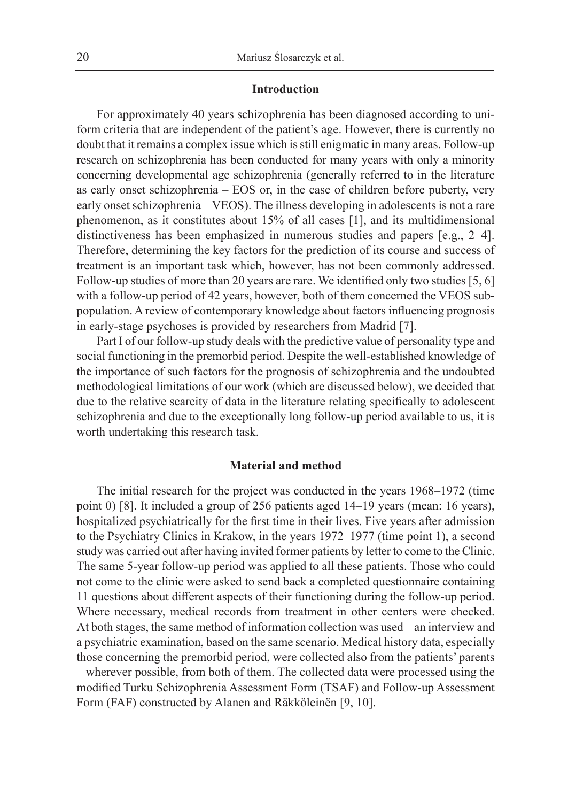### **Introduction**

For approximately 40 years schizophrenia has been diagnosed according to uniform criteria that are independent of the patient's age. However, there is currently no doubt that it remains a complex issue which is still enigmatic in many areas. Follow-up research on schizophrenia has been conducted for many years with only a minority concerning developmental age schizophrenia (generally referred to in the literature as early onset schizophrenia – EOS or, in the case of children before puberty, very early onset schizophrenia – VEOS). The illness developing in adolescents is not a rare phenomenon, as it constitutes about 15% of all cases [1], and its multidimensional distinctiveness has been emphasized in numerous studies and papers [e.g., 2–4]. Therefore, determining the key factors for the prediction of its course and success of treatment is an important task which, however, has not been commonly addressed. Follow-up studies of more than 20 years are rare. We identified only two studies [5, 6] with a follow-up period of 42 years, however, both of them concerned the VEOS subpopulation. A review of contemporary knowledge about factors influencing prognosis in early-stage psychoses is provided by researchers from Madrid [7].

Part I of our follow-up study deals with the predictive value of personality type and social functioning in the premorbid period. Despite the well-established knowledge of the importance of such factors for the prognosis of schizophrenia and the undoubted methodological limitations of our work (which are discussed below), we decided that due to the relative scarcity of data in the literature relating specifically to adolescent schizophrenia and due to the exceptionally long follow-up period available to us, it is worth undertaking this research task.

#### **Material and method**

The initial research for the project was conducted in the years 1968–1972 (time point 0) [8]. It included a group of 256 patients aged 14–19 years (mean: 16 years), hospitalized psychiatrically for the first time in their lives. Five years after admission to the Psychiatry Clinics in Krakow, in the years 1972–1977 (time point 1), a second study was carried out after having invited former patients by letter to come to the Clinic. The same 5-year follow-up period was applied to all these patients. Those who could not come to the clinic were asked to send back a completed questionnaire containing 11 questions about different aspects of their functioning during the follow-up period. Where necessary, medical records from treatment in other centers were checked. At both stages, the same method of information collection was used – an interview and a psychiatric examination, based on the same scenario. Medical history data, especially those concerning the premorbid period, were collected also from the patients' parents – wherever possible, from both of them. The collected data were processed using the modified Turku Schizophrenia Assessment Form (TSAF) and Follow-up Assessment Form (FAF) constructed by Alanen and Räkköleinën [9, 10].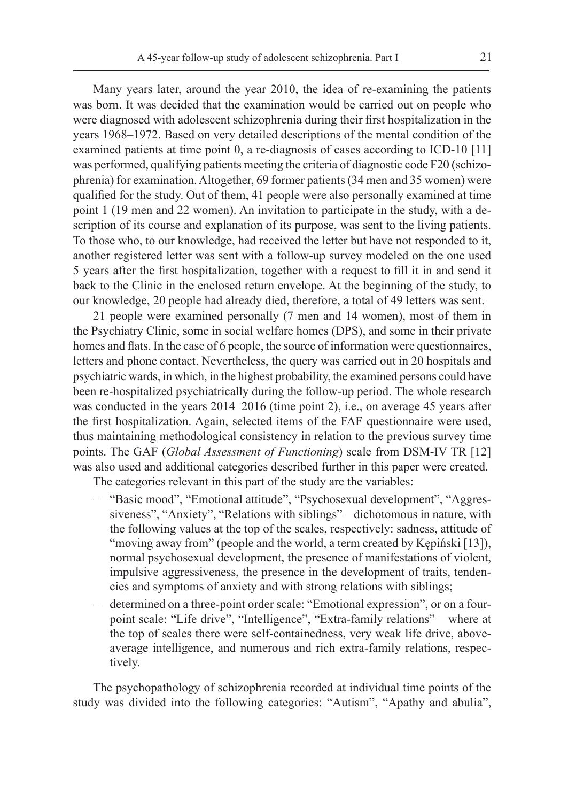Many years later, around the year 2010, the idea of re-examining the patients was born. It was decided that the examination would be carried out on people who were diagnosed with adolescent schizophrenia during their first hospitalization in the years 1968–1972. Based on very detailed descriptions of the mental condition of the examined patients at time point 0, a re-diagnosis of cases according to ICD-10 [11] was performed, qualifying patients meeting the criteria of diagnostic code F20 (schizophrenia) for examination. Altogether, 69 former patients (34 men and 35 women) were qualified for the study. Out of them, 41 people were also personally examined at time point 1 (19 men and 22 women). An invitation to participate in the study, with a description of its course and explanation of its purpose, was sent to the living patients. To those who, to our knowledge, had received the letter but have not responded to it, another registered letter was sent with a follow-up survey modeled on the one used 5 years after the first hospitalization, together with a request to fill it in and send it back to the Clinic in the enclosed return envelope. At the beginning of the study, to our knowledge, 20 people had already died, therefore, a total of 49 letters was sent.

21 people were examined personally (7 men and 14 women), most of them in the Psychiatry Clinic, some in social welfare homes (DPS), and some in their private homes and flats. In the case of 6 people, the source of information were questionnaires, letters and phone contact. Nevertheless, the query was carried out in 20 hospitals and psychiatric wards, in which, in the highest probability, the examined persons could have been re-hospitalized psychiatrically during the follow-up period. The whole research was conducted in the years 2014–2016 (time point 2), i.e., on average 45 years after the first hospitalization. Again, selected items of the FAF questionnaire were used, thus maintaining methodological consistency in relation to the previous survey time points. The GAF (*Global Assessment of Functioning*) scale from DSM-IV TR [12] was also used and additional categories described further in this paper were created.

The categories relevant in this part of the study are the variables:

- "Basic mood", "Emotional attitude", "Psychosexual development", "Aggressiveness", "Anxiety", "Relations with siblings" – dichotomous in nature, with the following values at the top of the scales, respectively: sadness, attitude of "moving away from" (people and the world, a term created by Kępiński [13]), normal psychosexual development, the presence of manifestations of violent, impulsive aggressiveness, the presence in the development of traits, tendencies and symptoms of anxiety and with strong relations with siblings;
- determined on a three-point order scale: "Emotional expression", or on a fourpoint scale: "Life drive", "Intelligence", "Extra-family relations" – where at the top of scales there were self-containedness, very weak life drive, aboveaverage intelligence, and numerous and rich extra-family relations, respectively.

The psychopathology of schizophrenia recorded at individual time points of the study was divided into the following categories: "Autism", "Apathy and abulia",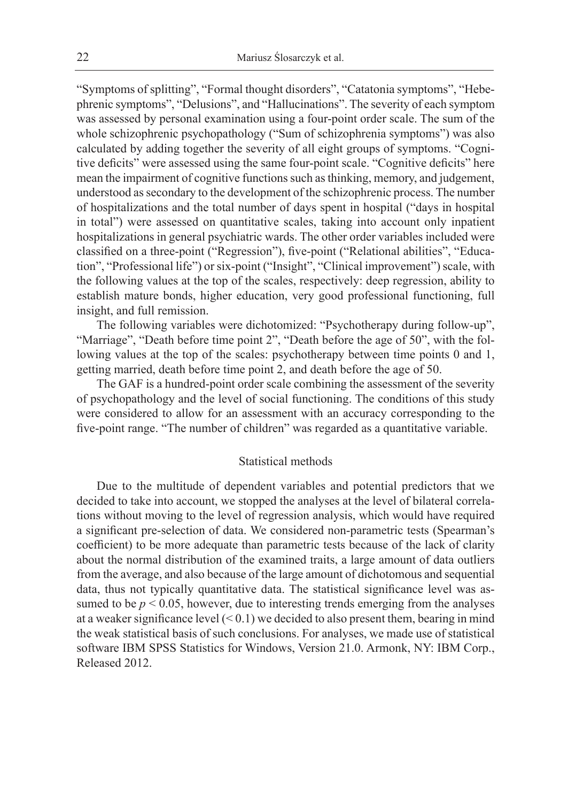"Symptoms of splitting", "Formal thought disorders", "Catatonia symptoms", "Hebephrenic symptoms", "Delusions", and "Hallucinations". The severity of each symptom was assessed by personal examination using a four-point order scale. The sum of the whole schizophrenic psychopathology ("Sum of schizophrenia symptoms") was also calculated by adding together the severity of all eight groups of symptoms. "Cognitive deficits" were assessed using the same four-point scale. "Cognitive deficits" here mean the impairment of cognitive functions such as thinking, memory, and judgement, understood as secondary to the development of the schizophrenic process. The number of hospitalizations and the total number of days spent in hospital ("days in hospital in total") were assessed on quantitative scales, taking into account only inpatient hospitalizations in general psychiatric wards. The other order variables included were classified on a three-point ("Regression"), five-point ("Relational abilities", "Education", "Professional life") or six-point ("Insight", "Clinical improvement") scale, with the following values at the top of the scales, respectively: deep regression, ability to establish mature bonds, higher education, very good professional functioning, full insight, and full remission.

The following variables were dichotomized: "Psychotherapy during follow-up", "Marriage", "Death before time point 2", "Death before the age of 50", with the following values at the top of the scales: psychotherapy between time points 0 and 1, getting married, death before time point 2, and death before the age of 50.

The GAF is a hundred-point order scale combining the assessment of the severity of psychopathology and the level of social functioning. The conditions of this study were considered to allow for an assessment with an accuracy corresponding to the five-point range. "The number of children" was regarded as a quantitative variable.

# Statistical methods

Due to the multitude of dependent variables and potential predictors that we decided to take into account, we stopped the analyses at the level of bilateral correlations without moving to the level of regression analysis, which would have required a significant pre-selection of data. We considered non-parametric tests (Spearman's coefficient) to be more adequate than parametric tests because of the lack of clarity about the normal distribution of the examined traits, a large amount of data outliers from the average, and also because of the large amount of dichotomous and sequential data, thus not typically quantitative data. The statistical significance level was assumed to be  $p < 0.05$ , however, due to interesting trends emerging from the analyses at a weaker significance level  $( $0.1$ ) we decided to also present them, bearing in mind$ the weak statistical basis of such conclusions. For analyses, we made use of statistical software IBM SPSS Statistics for Windows, Version 21.0. Armonk, NY: IBM Corp., Released 2012.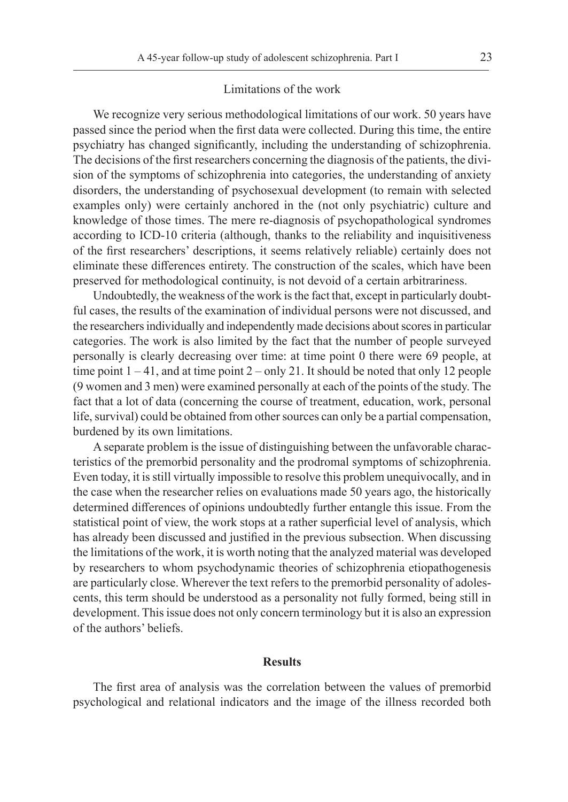#### Limitations of the work

We recognize very serious methodological limitations of our work. 50 years have passed since the period when the first data were collected. During this time, the entire psychiatry has changed significantly, including the understanding of schizophrenia. The decisions of the first researchers concerning the diagnosis of the patients, the division of the symptoms of schizophrenia into categories, the understanding of anxiety disorders, the understanding of psychosexual development (to remain with selected examples only) were certainly anchored in the (not only psychiatric) culture and knowledge of those times. The mere re-diagnosis of psychopathological syndromes according to ICD-10 criteria (although, thanks to the reliability and inquisitiveness of the first researchers' descriptions, it seems relatively reliable) certainly does not eliminate these differences entirety. The construction of the scales, which have been preserved for methodological continuity, is not devoid of a certain arbitrariness.

Undoubtedly, the weakness of the work is the fact that, except in particularly doubtful cases, the results of the examination of individual persons were not discussed, and the researchers individually and independently made decisions about scores in particular categories. The work is also limited by the fact that the number of people surveyed personally is clearly decreasing over time: at time point 0 there were 69 people, at time point  $1 - 41$ , and at time point  $2 - only 21$ . It should be noted that only 12 people (9 women and 3 men) were examined personally at each of the points of the study. The fact that a lot of data (concerning the course of treatment, education, work, personal life, survival) could be obtained from other sources can only be a partial compensation, burdened by its own limitations.

A separate problem is the issue of distinguishing between the unfavorable characteristics of the premorbid personality and the prodromal symptoms of schizophrenia. Even today, it is still virtually impossible to resolve this problem unequivocally, and in the case when the researcher relies on evaluations made 50 years ago, the historically determined differences of opinions undoubtedly further entangle this issue. From the statistical point of view, the work stops at a rather superficial level of analysis, which has already been discussed and justified in the previous subsection. When discussing the limitations of the work, it is worth noting that the analyzed material was developed by researchers to whom psychodynamic theories of schizophrenia etiopathogenesis are particularly close. Wherever the text refers to the premorbid personality of adolescents, this term should be understood as a personality not fully formed, being still in development. This issue does not only concern terminology but it is also an expression of the authors' beliefs.

#### **Results**

The first area of analysis was the correlation between the values of premorbid psychological and relational indicators and the image of the illness recorded both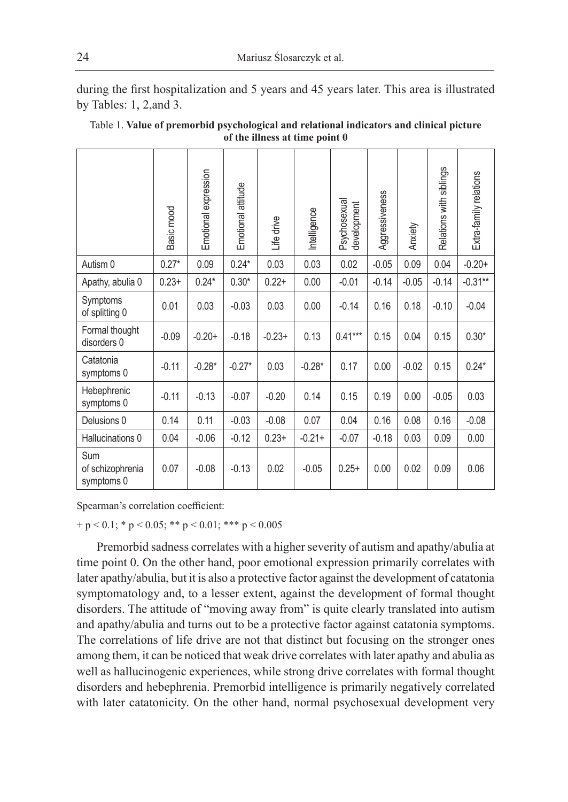during the first hospitalization and 5 years and 45 years later. This area is illustrated by Tables: 1, 2,and 3.

| Table 1. Value of premorbid psychological and relational indicators and clinical picture |
|------------------------------------------------------------------------------------------|
| of the illness at time point 0                                                           |

|                                       | Basic mood | Emotional expression | Emotional attitude | Life drive | Intelligence | Psychosexual<br>development | Aggressiveness | Anxiety | Relations with siblings | Extra-family relations |
|---------------------------------------|------------|----------------------|--------------------|------------|--------------|-----------------------------|----------------|---------|-------------------------|------------------------|
| Autism 0                              | $0.27*$    | 0.09                 | $0.24*$            | 0.03       | 0.03         | 0.02                        | $-0.05$        | 0.09    | 0.04                    | $-0.20+$               |
| Apathy, abulia 0                      | $0.23+$    | $0.24*$              | $0.30*$            | $0.22 +$   | 0.00         | $-0.01$                     | $-0.14$        | $-0.05$ | $-0.14$                 | $-0.31**$              |
| Symptoms<br>of splitting 0            | 0.01       | 0.03                 | $-0.03$            | 0.03       | 0.00         | $-0.14$                     | 0.16           | 0.18    | $-0.10$                 | $-0.04$                |
| Formal thought<br>disorders 0         | $-0.09$    | $-0.20+$             | $-0.18$            | $-0.23+$   | 0.13         | $0.41***$                   | 0.15           | 0.04    | 0.15                    | $0.30*$                |
| Catatonia<br>symptoms 0               | $-0.11$    | $-0.28*$             | $-0.27*$           | 0.03       | $-0.28*$     | 0.17                        | 0.00           | $-0.02$ | 0.15                    | $0.24*$                |
| Hebephrenic<br>symptoms 0             | $-0.11$    | $-0.13$              | $-0.07$            | $-0.20$    | 0.14         | 0.15                        | 0.19           | 0.00    | $-0.05$                 | 0.03                   |
| Delusions 0                           | 0.14       | 0.11                 | $-0.03$            | $-0.08$    | 0.07         | 0.04                        | 0.16           | 0.08    | 0.16                    | $-0.08$                |
| Hallucinations 0                      | 0.04       | $-0.06$              | $-0.12$            | $0.23+$    | $-0.21+$     | $-0.07$                     | $-0.18$        | 0.03    | 0.09                    | 0.00                   |
| Sum<br>of schizophrenia<br>symptoms 0 | 0.07       | $-0.08$              | $-0.13$            | 0.02       | $-0.05$      | $0.25+$                     | 0.00           | 0.02    | 0.09                    | 0.06                   |

Spearman's correlation coefficient:

 $+p < 0.1$ ; \* p  $< 0.05$ ; \*\* p  $< 0.01$ ; \*\*\* p  $< 0.005$ 

Premorbid sadness correlates with a higher severity of autism and apathy/abulia at time point 0. On the other hand, poor emotional expression primarily correlates with later apathy/abulia, but it is also a protective factor against the development of catatonia symptomatology and, to a lesser extent, against the development of formal thought disorders. The attitude of "moving away from" is quite clearly translated into autism and apathy/abulia and turns out to be a protective factor against catatonia symptoms. The correlations of life drive are not that distinct but focusing on the stronger ones among them, it can be noticed that weak drive correlates with later apathy and abulia as well as hallucinogenic experiences, while strong drive correlates with formal thought disorders and hebephrenia. Premorbid intelligence is primarily negatively correlated with later catatonicity. On the other hand, normal psychosexual development very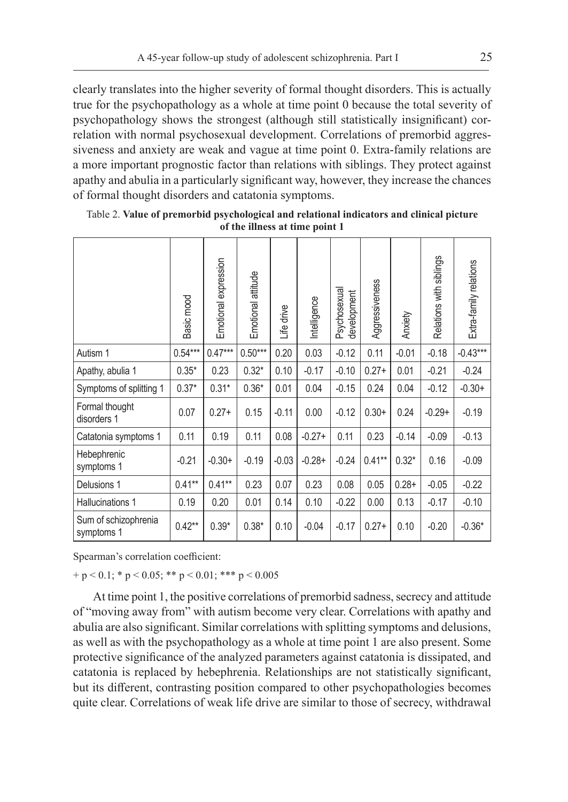clearly translates into the higher severity of formal thought disorders. This is actually true for the psychopathology as a whole at time point 0 because the total severity of psychopathology shows the strongest (although still statistically insignificant) correlation with normal psychosexual development. Correlations of premorbid aggressiveness and anxiety are weak and vague at time point 0. Extra-family relations are a more important prognostic factor than relations with siblings. They protect against apathy and abulia in a particularly significant way, however, they increase the chances of formal thought disorders and catatonia symptoms.

|                                    | Basic mood | Emotional expression | Emotional attitude | Life drive | Intelligence | Psychosexual<br>development | Aggressiveness | Anxiety  | Relations with siblings | Extra-family relations |
|------------------------------------|------------|----------------------|--------------------|------------|--------------|-----------------------------|----------------|----------|-------------------------|------------------------|
| Autism 1                           | $0.54***$  | $0.47***$            | $0.50***$          | 0.20       | 0.03         | $-0.12$                     | 0.11           | $-0.01$  | $-0.18$                 | $-0.43***$             |
| Apathy, abulia 1                   | $0.35*$    | 0.23                 | $0.32*$            | 0.10       | $-0.17$      | $-0.10$                     | $0.27+$        | 0.01     | $-0.21$                 | $-0.24$                |
| Symptoms of splitting 1            | $0.37*$    | $0.31*$              | $0.36*$            | 0.01       | 0.04         | $-0.15$                     | 0.24           | 0.04     | $-0.12$                 | $-0.30+$               |
| Formal thought<br>disorders 1      | 0.07       | $0.27+$              | 0.15               | $-0.11$    | 0.00         | $-0.12$                     | $0.30+$        | 0.24     | $-0.29+$                | $-0.19$                |
| Catatonia symptoms 1               | 0.11       | 0.19                 | 0.11               | 0.08       | $-0.27+$     | 0.11                        | 0.23           | $-0.14$  | $-0.09$                 | $-0.13$                |
| Hebephrenic<br>symptoms 1          | $-0.21$    | $-0.30+$             | $-0.19$            | $-0.03$    | $-0.28+$     | $-0.24$                     | $0.41**$       | $0.32*$  | 0.16                    | $-0.09$                |
| Delusions 1                        | $0.41**$   | $0.41***$            | 0.23               | 0.07       | 0.23         | 0.08                        | 0.05           | $0.28 +$ | $-0.05$                 | $-0.22$                |
| Hallucinations 1                   | 0.19       | 0.20                 | 0.01               | 0.14       | 0.10         | $-0.22$                     | 0.00           | 0.13     | $-0.17$                 | $-0.10$                |
| Sum of schizophrenia<br>symptoms 1 | $0.42**$   | $0.39*$              | $0.38*$            | 0.10       | $-0.04$      | $-0.17$                     | $0.27+$        | 0.10     | $-0.20$                 | $-0.36*$               |

Table 2. **Value of premorbid psychological and relational indicators and clinical picture of the illness at time point 1**

Spearman's correlation coefficient:

 $+ p < 0.1$ ; \*  $p < 0.05$ ; \*\*  $p < 0.01$ ; \*\*\*  $p < 0.005$ 

At time point 1, the positive correlations of premorbid sadness, secrecy and attitude of "moving away from" with autism become very clear. Correlations with apathy and abulia are also significant. Similar correlations with splitting symptoms and delusions, as well as with the psychopathology as a whole at time point 1 are also present. Some protective significance of the analyzed parameters against catatonia is dissipated, and catatonia is replaced by hebephrenia. Relationships are not statistically significant, but its different, contrasting position compared to other psychopathologies becomes quite clear. Correlations of weak life drive are similar to those of secrecy, withdrawal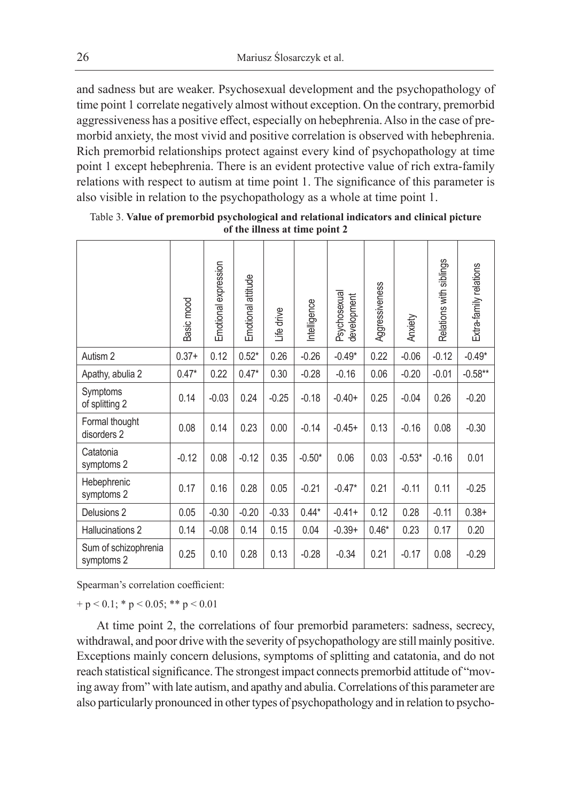and sadness but are weaker. Psychosexual development and the psychopathology of time point 1 correlate negatively almost without exception. On the contrary, premorbid aggressiveness has a positive effect, especially on hebephrenia. Also in the case of premorbid anxiety, the most vivid and positive correlation is observed with hebephrenia. Rich premorbid relationships protect against every kind of psychopathology at time point 1 except hebephrenia. There is an evident protective value of rich extra-family relations with respect to autism at time point 1. The significance of this parameter is also visible in relation to the psychopathology as a whole at time point 1.

|                                    | Basic mood | Emotional expression | Emotional attitude | Life drive | Intelligence | Psychosexual<br>development | Aggressiveness | Anxiety  | Relations with siblings | Extra-family relations |
|------------------------------------|------------|----------------------|--------------------|------------|--------------|-----------------------------|----------------|----------|-------------------------|------------------------|
| Autism 2                           | $0.37+$    | 0.12                 | $0.52*$            | 0.26       | $-0.26$      | $-0.49*$                    | 0.22           | $-0.06$  | $-0.12$                 | $-0.49*$               |
| Apathy, abulia 2                   | $0.47*$    | 0.22                 | $0.47*$            | 0.30       | $-0.28$      | $-0.16$                     | 0.06           | $-0.20$  | $-0.01$                 | $-0.58**$              |
| Symptoms<br>of splitting 2         | 0.14       | $-0.03$              | 0.24               | $-0.25$    | $-0.18$      | $-0.40+$                    | 0.25           | $-0.04$  | 0.26                    | $-0.20$                |
| Formal thought<br>disorders 2      | 0.08       | 0.14                 | 0.23               | 0.00       | $-0.14$      | $-0.45+$                    | 0.13           | $-0.16$  | 0.08                    | $-0.30$                |
| Catatonia<br>symptoms 2            | $-0.12$    | 0.08                 | $-0.12$            | 0.35       | $-0.50*$     | 0.06                        | 0.03           | $-0.53*$ | $-0.16$                 | 0.01                   |
| Hebephrenic<br>symptoms 2          | 0.17       | 0.16                 | 0.28               | 0.05       | $-0.21$      | $-0.47*$                    | 0.21           | $-0.11$  | 0.11                    | $-0.25$                |
| Delusions 2                        | 0.05       | $-0.30$              | $-0.20$            | $-0.33$    | $0.44*$      | $-0.41+$                    | 0.12           | 0.28     | $-0.11$                 | $0.38+$                |
| Hallucinations 2                   | 0.14       | $-0.08$              | 0.14               | 0.15       | 0.04         | $-0.39+$                    | $0.46*$        | 0.23     | 0.17                    | 0.20                   |
| Sum of schizophrenia<br>symptoms 2 | 0.25       | 0.10                 | 0.28               | 0.13       | $-0.28$      | $-0.34$                     | 0.21           | $-0.17$  | 0.08                    | $-0.29$                |

Table 3. **Value of premorbid psychological and relational indicators and clinical picture of the illness at time point 2**

Spearman's correlation coefficient:

 $+p < 0.1$ ; \* p  $< 0.05$ ; \*\* p  $< 0.01$ 

At time point 2, the correlations of four premorbid parameters: sadness, secrecy, withdrawal, and poor drive with the severity of psychopathology are still mainly positive. Exceptions mainly concern delusions, symptoms of splitting and catatonia, and do not reach statistical significance. The strongest impact connects premorbid attitude of "moving away from" with late autism, and apathy and abulia. Correlations of this parameter are also particularly pronounced in other types of psychopathology and in relation to psycho-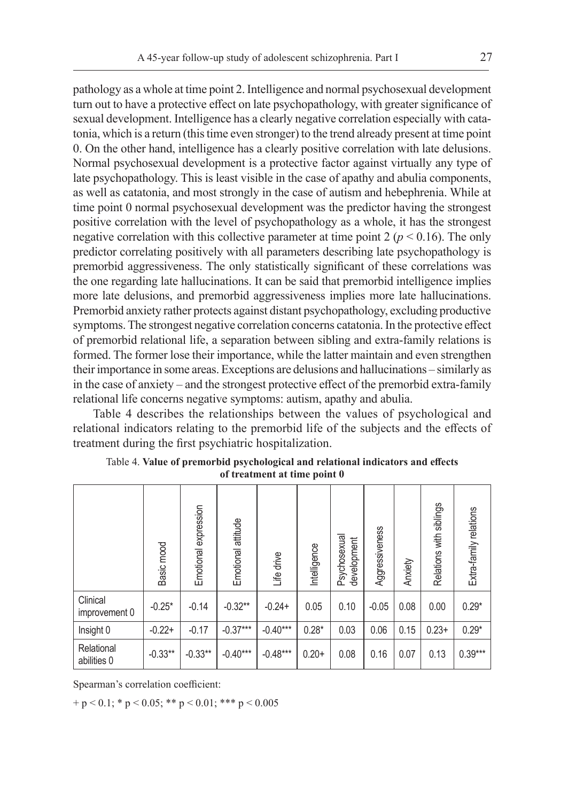pathology as a whole at time point 2. Intelligence and normal psychosexual development turn out to have a protective effect on late psychopathology, with greater significance of sexual development. Intelligence has a clearly negative correlation especially with catatonia, which is a return (this time even stronger) to the trend already present at time point 0. On the other hand, intelligence has a clearly positive correlation with late delusions. Normal psychosexual development is a protective factor against virtually any type of late psychopathology. This is least visible in the case of apathy and abulia components, as well as catatonia, and most strongly in the case of autism and hebephrenia. While at time point 0 normal psychosexual development was the predictor having the strongest positive correlation with the level of psychopathology as a whole, it has the strongest negative correlation with this collective parameter at time point  $2 (p < 0.16)$ . The only predictor correlating positively with all parameters describing late psychopathology is premorbid aggressiveness. The only statistically significant of these correlations was the one regarding late hallucinations. It can be said that premorbid intelligence implies more late delusions, and premorbid aggressiveness implies more late hallucinations. Premorbid anxiety rather protects against distant psychopathology, excluding productive symptoms. The strongest negative correlation concerns catatonia. In the protective effect of premorbid relational life, a separation between sibling and extra-family relations is formed. The former lose their importance, while the latter maintain and even strengthen their importance in some areas. Exceptions are delusions and hallucinations – similarly as in the case of anxiety – and the strongest protective effect of the premorbid extra-family relational life concerns negative symptoms: autism, apathy and abulia.

Table 4 describes the relationships between the values of psychological and relational indicators relating to the premorbid life of the subjects and the effects of treatment during the first psychiatric hospitalization.

|                           | Basic mood | Emotional expression | Emotional attitude | Life drive | Intelligence | Psychosexual<br>development | Aggressiveness | Anxiety | Relations with siblings | Extra-family relations |
|---------------------------|------------|----------------------|--------------------|------------|--------------|-----------------------------|----------------|---------|-------------------------|------------------------|
| Clinical<br>improvement 0 | $-0.25*$   | $-0.14$              | $-0.32**$          | $-0.24+$   | 0.05         | 0.10                        | $-0.05$        | 0.08    | 0.00                    | $0.29*$                |
| Insight 0                 | $-0.22+$   | $-0.17$              | $-0.37***$         | $-0.40***$ | $0.28*$      | 0.03                        | 0.06           | 0.15    | $0.23+$                 | $0.29*$                |
| Relational<br>abilities 0 | $-0.33**$  | $-0.33**$            | $-0.40***$         | $-0.48***$ | $0.20+$      | 0.08                        | 0.16           | 0.07    | 0.13                    | $0.39***$              |

Table 4. **Value of premorbid psychological and relational indicators and effects of treatment at time point 0**

Spearman's correlation coefficient:

 $+p < 0.1$ ; \* p  $< 0.05$ ; \*\* p  $< 0.01$ ; \*\*\* p  $< 0.005$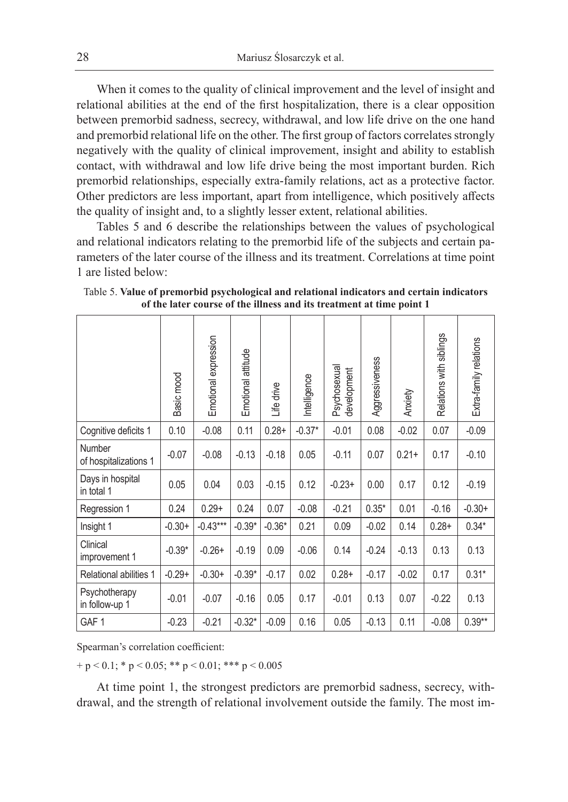When it comes to the quality of clinical improvement and the level of insight and relational abilities at the end of the first hospitalization, there is a clear opposition between premorbid sadness, secrecy, withdrawal, and low life drive on the one hand and premorbid relational life on the other. The first group of factors correlates strongly negatively with the quality of clinical improvement, insight and ability to establish contact, with withdrawal and low life drive being the most important burden. Rich premorbid relationships, especially extra-family relations, act as a protective factor. Other predictors are less important, apart from intelligence, which positively affects the quality of insight and, to a slightly lesser extent, relational abilities.

Tables 5 and 6 describe the relationships between the values of psychological and relational indicators relating to the premorbid life of the subjects and certain parameters of the later course of the illness and its treatment. Correlations at time point 1 are listed below:

|                                 | Basic mood | Emotional expression | Emotional attitude | drive<br>Life | Intelligence | Psychosexual<br>development | Aggressiveness | Anxiety  | Relations with siblings | Extra-family relations |
|---------------------------------|------------|----------------------|--------------------|---------------|--------------|-----------------------------|----------------|----------|-------------------------|------------------------|
| Cognitive deficits 1            | 0.10       | $-0.08$              | 0.11               | $0.28 +$      | $-0.37*$     | $-0.01$                     | 0.08           | $-0.02$  | 0.07                    | $-0.09$                |
| Number<br>of hospitalizations 1 | $-0.07$    | $-0.08$              | $-0.13$            | $-0.18$       | 0.05         | $-0.11$                     | 0.07           | $0.21 +$ | 0.17                    | $-0.10$                |
| Days in hospital<br>in total 1  | 0.05       | 0.04                 | 0.03               | $-0.15$       | 0.12         | $-0.23+$                    | 0.00           | 0.17     | 0.12                    | $-0.19$                |
| Regression 1                    | 0.24       | $0.29+$              | 0.24               | 0.07          | $-0.08$      | $-0.21$                     | $0.35*$        | 0.01     | $-0.16$                 | $-0.30+$               |
| Insight 1                       | $-0.30+$   | $-0.43***$           | $-0.39*$           | $-0.36*$      | 0.21         | 0.09                        | $-0.02$        | 0.14     | $0.28 +$                | $0.34*$                |
| Clinical<br>improvement 1       | $-0.39*$   | $-0.26+$             | $-0.19$            | 0.09          | $-0.06$      | 0.14                        | $-0.24$        | $-0.13$  | 0.13                    | 0.13                   |
| Relational abilities 1          | $-0.29+$   | $-0.30+$             | $-0.39*$           | $-0.17$       | 0.02         | $0.28 +$                    | $-0.17$        | $-0.02$  | 0.17                    | $0.31*$                |
| Psychotherapy<br>in follow-up 1 | $-0.01$    | $-0.07$              | $-0.16$            | 0.05          | 0.17         | $-0.01$                     | 0.13           | 0.07     | $-0.22$                 | 0.13                   |
| GAF <sub>1</sub>                | $-0.23$    | $-0.21$              | $-0.32*$           | $-0.09$       | 0.16         | 0.05                        | $-0.13$        | 0.11     | $-0.08$                 | $0.39**$               |

Table 5. **Value of premorbid psychological and relational indicators and certain indicators of the later course of the illness and its treatment at time point 1**

Spearman's correlation coefficient:

 $+p < 0.1$ ; \* p  $< 0.05$ ; \*\* p  $< 0.01$ ; \*\*\* p  $< 0.005$ 

At time point 1, the strongest predictors are premorbid sadness, secrecy, withdrawal, and the strength of relational involvement outside the family. The most im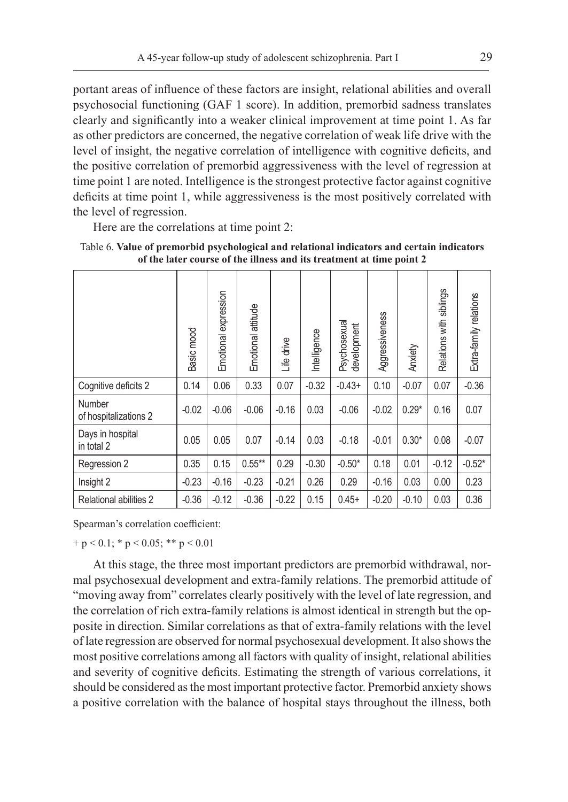portant areas of influence of these factors are insight, relational abilities and overall psychosocial functioning (GAF 1 score). In addition, premorbid sadness translates clearly and significantly into a weaker clinical improvement at time point 1. As far as other predictors are concerned, the negative correlation of weak life drive with the level of insight, the negative correlation of intelligence with cognitive deficits, and the positive correlation of premorbid aggressiveness with the level of regression at time point 1 are noted. Intelligence is the strongest protective factor against cognitive deficits at time point 1, while aggressiveness is the most positively correlated with the level of regression.

Here are the correlations at time point 2:

|                                 | Basic mood | expression<br>Emotional | attitude<br>Emotional | Life drive | Intelligence | Psychosexual<br>development | Aggressiveness | Anxiety | Relations with siblings | Extra-family relations |
|---------------------------------|------------|-------------------------|-----------------------|------------|--------------|-----------------------------|----------------|---------|-------------------------|------------------------|
| Cognitive deficits 2            | 0.14       | 0.06                    | 0.33                  | 0.07       | $-0.32$      | $-0.43+$                    | 0.10           | $-0.07$ | 0.07                    | $-0.36$                |
| Number<br>of hospitalizations 2 | $-0.02$    | $-0.06$                 | $-0.06$               | $-0.16$    | 0.03         | $-0.06$                     | $-0.02$        | $0.29*$ | 0.16                    | 0.07                   |
| Days in hospital<br>in total 2  | 0.05       | 0.05                    | 0.07                  | $-0.14$    | 0.03         | $-0.18$                     | $-0.01$        | $0.30*$ | 0.08                    | $-0.07$                |
| Regression 2                    | 0.35       | 0.15                    | $0.55***$             | 0.29       | $-0.30$      | $-0.50*$                    | 0.18           | 0.01    | $-0.12$                 | $-0.52*$               |
| Insight 2                       | $-0.23$    | $-0.16$                 | $-0.23$               | $-0.21$    | 0.26         | 0.29                        | $-0.16$        | 0.03    | 0.00                    | 0.23                   |
| Relational abilities 2          | $-0.36$    | $-0.12$                 | $-0.36$               | $-0.22$    | 0.15         | $0.45+$                     | $-0.20$        | $-0.10$ | 0.03                    | 0.36                   |

Table 6. **Value of premorbid psychological and relational indicators and certain indicators of the later course of the illness and its treatment at time point 2**

Spearman's correlation coefficient:

 $+ p < 0.1$ ; \*  $p < 0.05$ ; \*\*  $p < 0.01$ 

At this stage, the three most important predictors are premorbid withdrawal, normal psychosexual development and extra-family relations. The premorbid attitude of "moving away from" correlates clearly positively with the level of late regression, and the correlation of rich extra-family relations is almost identical in strength but the opposite in direction. Similar correlations as that of extra-family relations with the level of late regression are observed for normal psychosexual development. It also shows the most positive correlations among all factors with quality of insight, relational abilities and severity of cognitive deficits. Estimating the strength of various correlations, it should be considered as the most important protective factor. Premorbid anxiety shows a positive correlation with the balance of hospital stays throughout the illness, both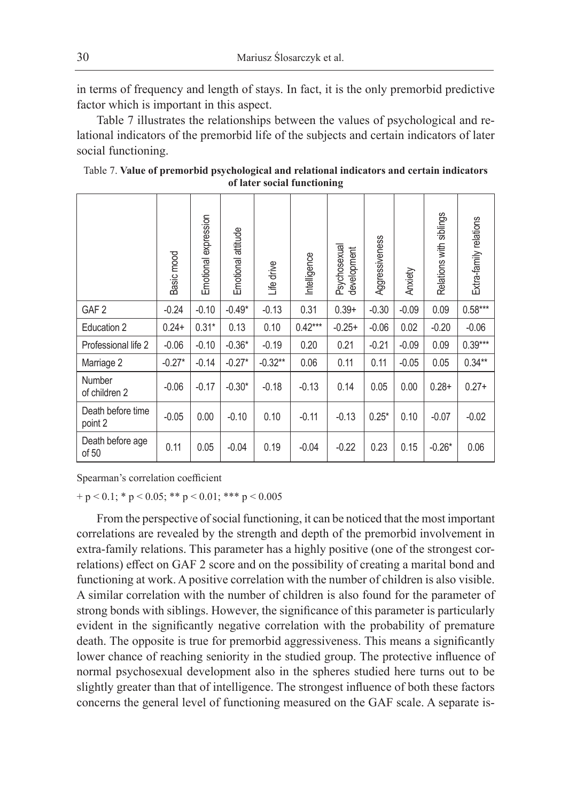in terms of frequency and length of stays. In fact, it is the only premorbid predictive factor which is important in this aspect.

Table 7 illustrates the relationships between the values of psychological and relational indicators of the premorbid life of the subjects and certain indicators of later social functioning.

|                              | Basic mood | expression<br>Emotional | attitude<br>Emotional | Life drive | Intelligence | Psychosexual<br>development | Aggressiveness | Anxiety | Relations with siblings | Extra-family relations |
|------------------------------|------------|-------------------------|-----------------------|------------|--------------|-----------------------------|----------------|---------|-------------------------|------------------------|
| GAF <sub>2</sub>             | $-0.24$    | $-0.10$                 | $-0.49*$              | $-0.13$    | 0.31         | $0.39+$                     | $-0.30$        | $-0.09$ | 0.09                    | $0.58***$              |
| Education 2                  | $0.24+$    | $0.31*$                 | 0.13                  | 0.10       | $0.42***$    | $-0.25+$                    | $-0.06$        | 0.02    | $-0.20$                 | $-0.06$                |
| Professional life 2          | $-0.06$    | $-0.10$                 | $-0.36*$              | $-0.19$    | 0.20         | 0.21                        | $-0.21$        | $-0.09$ | 0.09                    | $0.39***$              |
| Marriage 2                   | $-0.27*$   | $-0.14$                 | $-0.27*$              | $-0.32***$ | 0.06         | 0.11                        | 0.11           | $-0.05$ | 0.05                    | $0.34**$               |
| Number<br>of children 2      | $-0.06$    | $-0.17$                 | $-0.30*$              | $-0.18$    | $-0.13$      | 0.14                        | 0.05           | 0.00    | $0.28+$                 | $0.27+$                |
| Death before time<br>point 2 | $-0.05$    | 0.00                    | $-0.10$               | 0.10       | $-0.11$      | $-0.13$                     | $0.25*$        | 0.10    | $-0.07$                 | $-0.02$                |
| Death before age<br>of 50    | 0.11       | 0.05                    | $-0.04$               | 0.19       | $-0.04$      | $-0.22$                     | 0.23           | 0.15    | $-0.26*$                | 0.06                   |

| Table 7. Value of premorbid psychological and relational indicators and certain indicators |  |
|--------------------------------------------------------------------------------------------|--|
| of later social functioning                                                                |  |

Spearman's correlation coefficient

 $+p < 0.1$ ; \* p  $< 0.05$ ; \*\* p  $< 0.01$ ; \*\*\* p  $< 0.005$ 

From the perspective of social functioning, it can be noticed that the most important correlations are revealed by the strength and depth of the premorbid involvement in extra-family relations. This parameter has a highly positive (one of the strongest correlations) effect on GAF 2 score and on the possibility of creating a marital bond and functioning at work. A positive correlation with the number of children is also visible. A similar correlation with the number of children is also found for the parameter of strong bonds with siblings. However, the significance of this parameter is particularly evident in the significantly negative correlation with the probability of premature death. The opposite is true for premorbid aggressiveness. This means a significantly lower chance of reaching seniority in the studied group. The protective influence of normal psychosexual development also in the spheres studied here turns out to be slightly greater than that of intelligence. The strongest influence of both these factors concerns the general level of functioning measured on the GAF scale. A separate is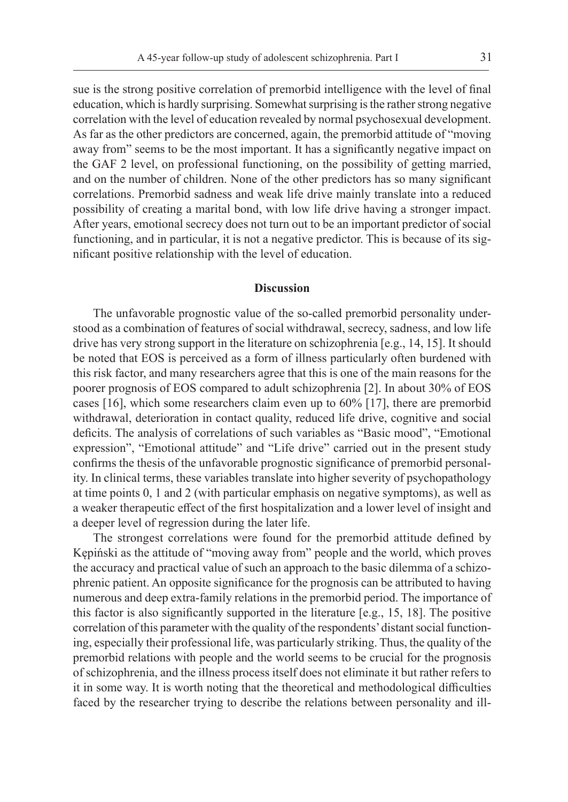sue is the strong positive correlation of premorbid intelligence with the level of final education, which is hardly surprising. Somewhat surprising is the rather strong negative correlation with the level of education revealed by normal psychosexual development. As far as the other predictors are concerned, again, the premorbid attitude of "moving away from" seems to be the most important. It has a significantly negative impact on the GAF 2 level, on professional functioning, on the possibility of getting married, and on the number of children. None of the other predictors has so many significant correlations. Premorbid sadness and weak life drive mainly translate into a reduced possibility of creating a marital bond, with low life drive having a stronger impact. After years, emotional secrecy does not turn out to be an important predictor of social functioning, and in particular, it is not a negative predictor. This is because of its significant positive relationship with the level of education.

#### **Discussion**

The unfavorable prognostic value of the so-called premorbid personality understood as a combination of features of social withdrawal, secrecy, sadness, and low life drive has very strong support in the literature on schizophrenia [e.g., 14, 15]. It should be noted that EOS is perceived as a form of illness particularly often burdened with this risk factor, and many researchers agree that this is one of the main reasons for the poorer prognosis of EOS compared to adult schizophrenia [2]. In about 30% of EOS cases [16], which some researchers claim even up to 60% [17], there are premorbid withdrawal, deterioration in contact quality, reduced life drive, cognitive and social deficits. The analysis of correlations of such variables as "Basic mood", "Emotional expression", "Emotional attitude" and "Life drive" carried out in the present study confirms the thesis of the unfavorable prognostic significance of premorbid personality. In clinical terms, these variables translate into higher severity of psychopathology at time points 0, 1 and 2 (with particular emphasis on negative symptoms), as well as a weaker therapeutic effect of the first hospitalization and a lower level of insight and a deeper level of regression during the later life.

The strongest correlations were found for the premorbid attitude defined by Kępiński as the attitude of "moving away from" people and the world, which proves the accuracy and practical value of such an approach to the basic dilemma of a schizophrenic patient. An opposite significance for the prognosis can be attributed to having numerous and deep extra-family relations in the premorbid period. The importance of this factor is also significantly supported in the literature [e.g., 15, 18]. The positive correlation of this parameter with the quality of the respondents' distant social functioning, especially their professional life, was particularly striking. Thus, the quality of the premorbid relations with people and the world seems to be crucial for the prognosis of schizophrenia, and the illness process itself does not eliminate it but rather refers to it in some way. It is worth noting that the theoretical and methodological difficulties faced by the researcher trying to describe the relations between personality and ill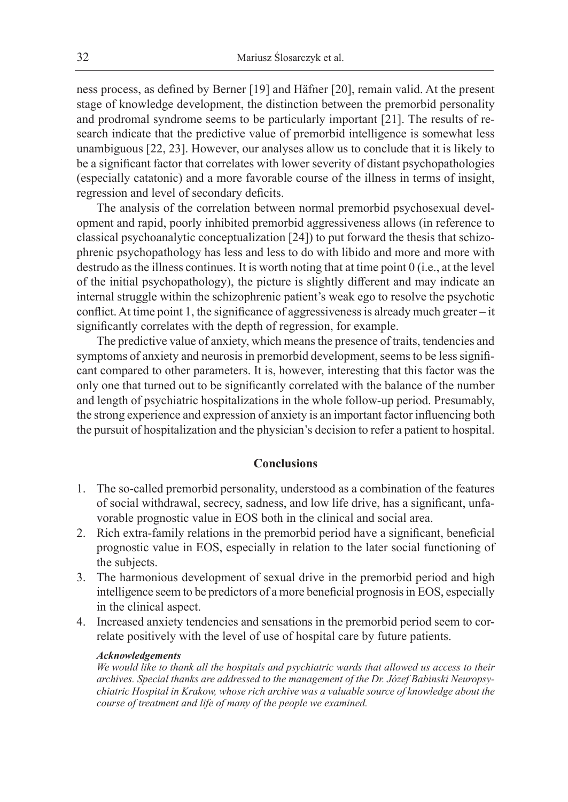ness process, as defined by Berner [19] and Häfner [20], remain valid. At the present stage of knowledge development, the distinction between the premorbid personality and prodromal syndrome seems to be particularly important [21]. The results of research indicate that the predictive value of premorbid intelligence is somewhat less unambiguous [22, 23]. However, our analyses allow us to conclude that it is likely to be a significant factor that correlates with lower severity of distant psychopathologies (especially catatonic) and a more favorable course of the illness in terms of insight, regression and level of secondary deficits.

The analysis of the correlation between normal premorbid psychosexual development and rapid, poorly inhibited premorbid aggressiveness allows (in reference to classical psychoanalytic conceptualization [24]) to put forward the thesis that schizophrenic psychopathology has less and less to do with libido and more and more with destrudo as the illness continues. It is worth noting that at time point 0 (i.e., at the level of the initial psychopathology), the picture is slightly different and may indicate an internal struggle within the schizophrenic patient's weak ego to resolve the psychotic conflict. At time point 1, the significance of aggressiveness is already much greater – it significantly correlates with the depth of regression, for example.

The predictive value of anxiety, which means the presence of traits, tendencies and symptoms of anxiety and neurosis in premorbid development, seems to be less significant compared to other parameters. It is, however, interesting that this factor was the only one that turned out to be significantly correlated with the balance of the number and length of psychiatric hospitalizations in the whole follow-up period. Presumably, the strong experience and expression of anxiety is an important factor influencing both the pursuit of hospitalization and the physician's decision to refer a patient to hospital.

## **Conclusions**

- 1. The so-called premorbid personality, understood as a combination of the features of social withdrawal, secrecy, sadness, and low life drive, has a significant, unfavorable prognostic value in EOS both in the clinical and social area.
- 2. Rich extra-family relations in the premorbid period have a significant, beneficial prognostic value in EOS, especially in relation to the later social functioning of the subjects.
- 3. The harmonious development of sexual drive in the premorbid period and high intelligence seem to be predictors of a more beneficial prognosis in EOS, especially in the clinical aspect.
- 4. Increased anxiety tendencies and sensations in the premorbid period seem to correlate positively with the level of use of hospital care by future patients.

#### *Acknowledgements*

*We would like to thank all the hospitals and psychiatric wards that allowed us access to their archives. Special thanks are addressed to the management of the Dr. Józef Babinski Neuropsychiatric Hospital in Krakow, whose rich archive was a valuable source of knowledge about the course of treatment and life of many of the people we examined.*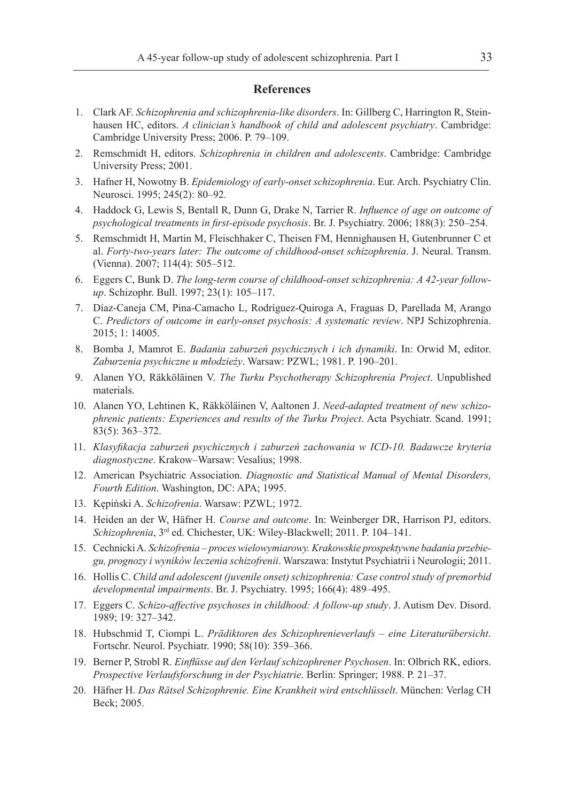#### **References**

- 1. Clark AF. *Schizophrenia and schizophrenia-like disorders*. In: Gillberg C, Harrington R, Steinhausen HC, editors. *A clinician's handbook of child and adolescent psychiatry*. Cambridge: Cambridge University Press; 2006. P. 79–109.
- 2. Remschmidt H, editors. *Schizophrenia in children and adolescents*. Cambridge: Cambridge University Press; 2001.
- 3. Hafner H, Nowotny B. *Epidemiology of early-onset schizophrenia*. Eur. Arch. Psychiatry Clin. Neurosci. 1995; 245(2): 80–92.
- 4. Haddock G, Lewis S, Bentall R, Dunn G, Drake N, Tarrier R. *Influence of age on outcome of psychological treatments in first-episode psychosis*. Br. J. Psychiatry. 2006; 188(3): 250–254.
- 5. Remschmidt H, Martin M, Fleischhaker C, Theisen FM, Hennighausen H, Gutenbrunner C et al. *Forty-two-years later: The outcome of childhood-onset schizophrenia*. J. Neural. Transm. (Vienna). 2007; 114(4): 505–512.
- 6. Eggers C, Bunk D. *The long-term course of childhood-onset schizophrenia: A 42-year followup*. Schizophr. Bull. 1997; 23(1): 105–117.
- 7. Díaz-Caneja CM, Pina-Camacho L, Rodríguez-Quiroga A, Fraguas D, Parellada M, Arango C. *Predictors of outcome in early-onset psychosis: A systematic review*. NPJ Schizophrenia. 2015; 1: 14005.
- 8. Bomba J, Mamrot E. *Badania zaburzeń psychicznych i ich dynamiki*. In: Orwid M, editor. *Zaburzenia psychiczne u młodzieży*. Warsaw: PZWL; 1981. P. 190–201.
- 9. Alanen YO, Räkköläinen V. *The Turku Psychotherapy Schizophrenia Project*. Unpublished materials.
- 10. Alanen YO, Lehtinen K, Räkköläinen V, Aaltonen J. *Need-adapted treatment of new schizophrenic patients: Experiences and results of the Turku Project*. Acta Psychiatr. Scand. 1991; 83(5): 363–372.
- 11. *Klasyfikacja zaburzeń psychicznych i zaburzeń zachowania w ICD-10. Badawcze kryteria diagnostyczne*. Krakow–Warsaw: Vesalius; 1998.
- 12. American Psychiatric Association. *Diagnostic and Statistical Manual of Mental Disorders, Fourth Edition*. Washington, DC: APA; 1995.
- 13. Kępiński A. *Schizofrenia*. Warsaw: PZWL; 1972.
- 14. Heiden an der W, Häfner H. *Course and outcome*. In: Weinberger DR, Harrison PJ, editors. *Schizophrenia*, 3rd ed. Chichester, UK: Wiley-Blackwell; 2011. P. 104–141.
- 15. Cechnicki A. *Schizofrenia proces wielowymiarowy. Krakowskie prospektywne badania przebiegu, prognozy i wyników leczenia schizofrenii*. Warszawa: Instytut Psychiatrii i Neurologii; 2011.
- 16. Hollis C. *Child and adolescent (juvenile onset) schizophrenia: Case control study of premorbid developmental impairments*. Br. J. Psychiatry. 1995; 166(4): 489–495.
- 17. Eggers C. *Schizo-affective psychoses in childhood: A follow-up study*. J. Autism Dev. Disord. 1989; 19: 327–342.
- 18. Hubschmid T, Ciompi L. *Prädiktoren des Schizophrenieverlaufs eine Literaturübersicht*. Fortschr. Neurol. Psychiatr. 1990; 58(10): 359–366.
- 19. Berner P, Strobl R. *Einflüsse auf den Verlauf schizophrener Psychosen*. In: Olbrich RK, ediors. *Prospective Verlaufsforschung in der Psychiatrie*. Berlin: Springer; 1988. P. 21–37.
- 20. Häfner H. *Das Rätsel Schizophrenie. Eine Krankheit wird entschlüsselt*. München: Verlag CH Beck; 2005.